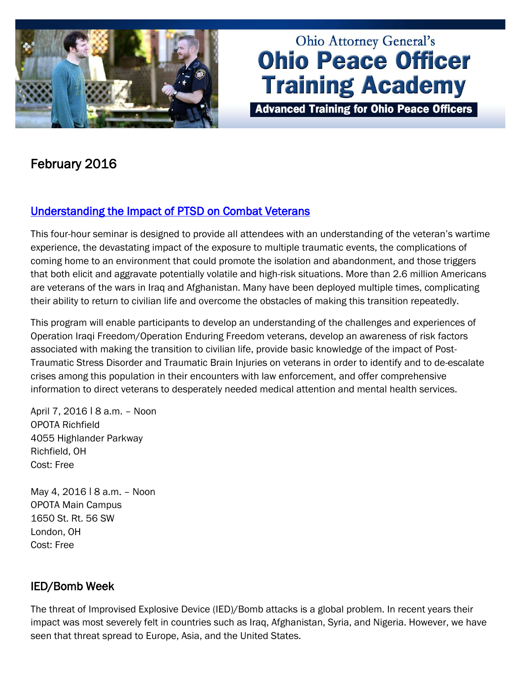

# **Ohio Attorney General's Ohio Peace Officer Training Academy**

**Advanced Training for Ohio Peace Officers** 

## February 2016

## [Understanding the Impact of PTSD on Combat Veterans](http://www.ohioattorneygeneral.gov/Law-Enforcement/Ohio-Peace-Officer-Training-Academy/Course-Catalog/Course-Categories/Human-Relations-Courses#OPOTA876)

This four-hour seminar is designed to provide all attendees with an understanding of the veteran's wartime experience, the devastating impact of the exposure to multiple traumatic events, the complications of coming home to an environment that could promote the isolation and abandonment, and those triggers that both elicit and aggravate potentially volatile and high-risk situations. More than 2.6 million Americans are veterans of the wars in Iraq and Afghanistan. Many have been deployed multiple times, complicating their ability to return to civilian life and overcome the obstacles of making this transition repeatedly.

This program will enable participants to develop an understanding of the challenges and experiences of Operation Iraqi Freedom/Operation Enduring Freedom veterans, develop an awareness of risk factors associated with making the transition to civilian life, provide basic knowledge of the impact of Post-Traumatic Stress Disorder and Traumatic Brain Injuries on veterans in order to identify and to de-escalate crises among this population in their encounters with law enforcement, and offer comprehensive information to direct veterans to desperately needed medical attention and mental health services.

April 7, 2016 ǀ 8 a.m. – Noon OPOTA Richfield 4055 Highlander Parkway Richfield, OH Cost: Free

May 4, 2016 | 8 a.m. - Noon OPOTA Main Campus 1650 St. Rt. 56 SW London, OH Cost: Free

## IED/Bomb Week

The threat of Improvised Explosive Device (IED)/Bomb attacks is a global problem. In recent years their impact was most severely felt in countries such as Iraq, Afghanistan, Syria, and Nigeria. However, we have seen that threat spread to Europe, Asia, and the United States.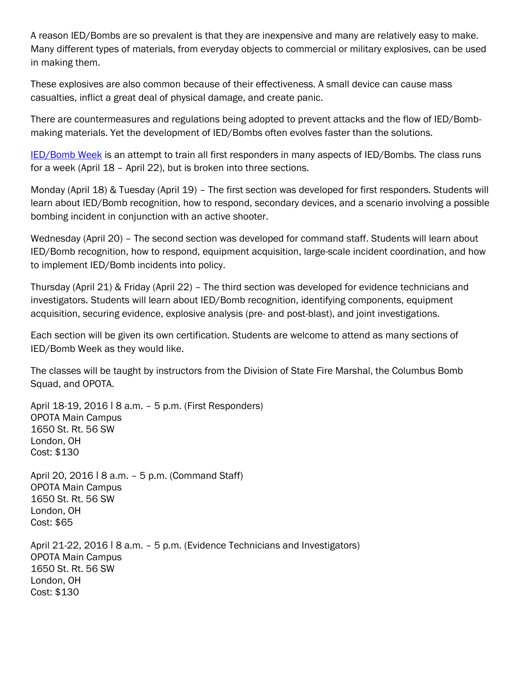A reason IED/Bombs are so prevalent is that they are inexpensive and many are relatively easy to make. Many different types of materials, from everyday objects to commercial or military explosives, can be used in making them.

These explosives are also common because of their effectiveness. A small device can cause mass casualties, inflict a great deal of physical damage, and create panic.

There are countermeasures and regulations being adopted to prevent attacks and the flow of IED/Bombmaking materials. Yet the development of IED/Bombs often evolves faster than the solutions.

[IED/Bomb Week](http://www.ohioattorneygeneral.gov/Law-Enforcement/Ohio-Peace-Officer-Training-Academy/Course-Catalog/Course-Categories/Homeland-Security-Courses#OPOTA880) is an attempt to train all first responders in many aspects of IED/Bombs. The class runs for a week (April 18 – April 22), but is broken into three sections.

Monday (April 18) & Tuesday (April 19) – The first section was developed for first responders. Students will learn about IED/Bomb recognition, how to respond, secondary devices, and a scenario involving a possible bombing incident in conjunction with an active shooter.

Wednesday (April 20) – The second section was developed for command staff. Students will learn about IED/Bomb recognition, how to respond, equipment acquisition, large-scale incident coordination, and how to implement IED/Bomb incidents into policy.

Thursday (April 21) & Friday (April 22) – The third section was developed for evidence technicians and investigators. Students will learn about IED/Bomb recognition, identifying components, equipment acquisition, securing evidence, explosive analysis (pre- and post-blast), and joint investigations.

Each section will be given its own certification. Students are welcome to attend as many sections of IED/Bomb Week as they would like.

The classes will be taught by instructors from the Division of State Fire Marshal, the Columbus Bomb Squad, and OPOTA.

April 18-19, 2016 | 8 a.m. - 5 p.m. (First Responders) OPOTA Main Campus 1650 St. Rt. 56 SW London, OH Cost: \$130

April 20, 2016 | 8 a.m. - 5 p.m. (Command Staff) OPOTA Main Campus 1650 St. Rt. 56 SW London, OH Cost: \$65

April 21-22, 2016 ǀ 8 a.m. – 5 p.m. (Evidence Technicians and Investigators) OPOTA Main Campus 1650 St. Rt. 56 SW London, OH Cost: \$130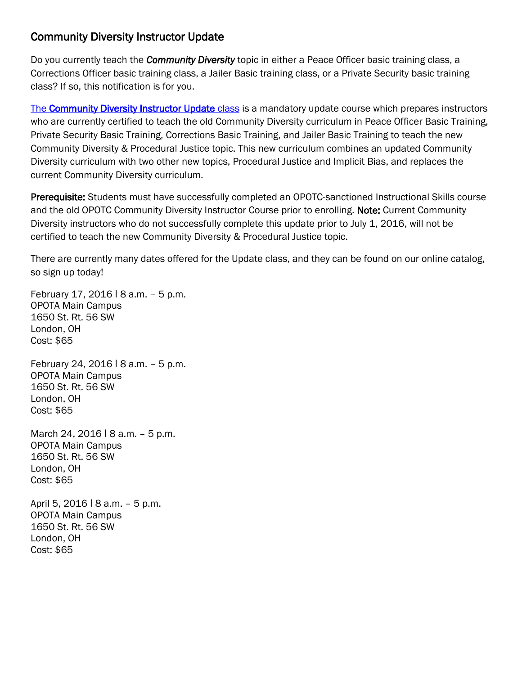### Community Diversity Instructor Update

Do you currently teach the *Community Diversity* topic in either a Peace Officer basic training class, a Corrections Officer basic training class, a Jailer Basic training class, or a Private Security basic training class? If so, this notification is for you.

[The Community Diversity Instructor Update](http://www.ohioattorneygeneral.gov/Law-Enforcement/Ohio-Peace-Officer-Training-Academy/Course-Catalog/Course-Categories/Instructor-Training-Courses#OPOTA806) class is a mandatory update course which prepares instructors who are currently certified to teach the old Community Diversity curriculum in Peace Officer Basic Training, Private Security Basic Training, Corrections Basic Training, and Jailer Basic Training to teach the new Community Diversity & Procedural Justice topic. This new curriculum combines an updated Community Diversity curriculum with two other new topics, Procedural Justice and Implicit Bias, and replaces the current Community Diversity curriculum.

Prerequisite: Students must have successfully completed an OPOTC-sanctioned Instructional Skills course and the old OPOTC Community Diversity Instructor Course prior to enrolling. Note: Current Community Diversity instructors who do not successfully complete this update prior to July 1, 2016, will not be certified to teach the new Community Diversity & Procedural Justice topic.

There are currently many dates offered for the Update class, and they can be found on our online catalog, so sign up today!

February 17, 2016 | 8 a.m. - 5 p.m. OPOTA Main Campus 1650 St. Rt. 56 SW London, OH Cost: \$65

February 24, 2016 ǀ 8 a.m. – 5 p.m. OPOTA Main Campus 1650 St. Rt. 56 SW London, OH Cost: \$65

March 24, 2016 | 8 a.m. - 5 p.m. OPOTA Main Campus 1650 St. Rt. 56 SW London, OH Cost: \$65

April 5, 2016 | 8 a.m. - 5 p.m. OPOTA Main Campus 1650 St. Rt. 56 SW London, OH Cost: \$65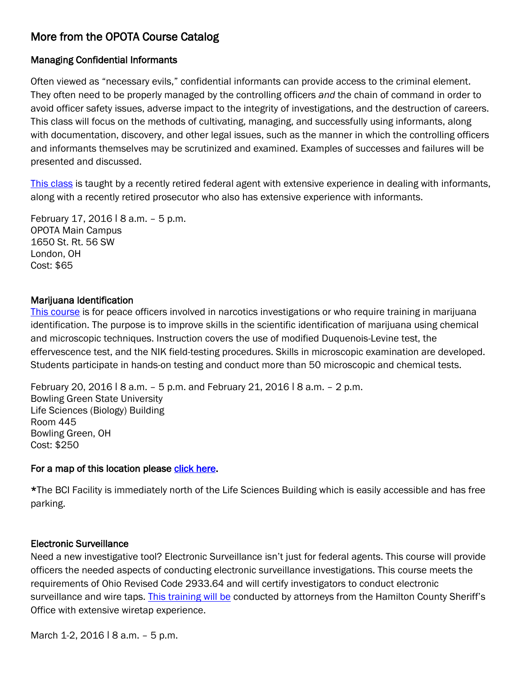## More from the OPOTA Course Catalog

#### Managing Confidential Informants

Often viewed as "necessary evils," confidential informants can provide access to the criminal element. They often need to be properly managed by the controlling officers *and* the chain of command in order to avoid officer safety issues, adverse impact to the integrity of investigations, and the destruction of careers. This class will focus on the methods of cultivating, managing, and successfully using informants, along with documentation, discovery, and other legal issues, such as the manner in which the controlling officers and informants themselves may be scrutinized and examined. Examples of successes and failures will be presented and discussed.

[This class](http://www.ohioattorneygeneral.gov/Law-Enforcement/Ohio-Peace-Officer-Training-Academy/Course-Catalog/Course-Categories/Investigations-Courses#OPOTA700) is taught by a recently retired federal agent with extensive experience in dealing with informants, along with a recently retired prosecutor who also has extensive experience with informants.

February 17, 2016 ǀ 8 a.m. – 5 p.m. OPOTA Main Campus 1650 St. Rt. 56 SW London, OH Cost: \$65

#### Marijuana Identification

[This course](http://www.ohioattorneygeneral.gov/Law-Enforcement/Ohio-Peace-Officer-Training-Academy/Course-Catalog/Course-Categories/Crime-Scene-Courses#OPOTA169) is for peace officers involved in narcotics investigations or who require training in marijuana identification. The purpose is to improve skills in the scientific identification of marijuana using chemical and microscopic techniques. Instruction covers the use of modified Duquenois-Levine test, the effervescence test, and the NIK field-testing procedures. Skills in microscopic examination are developed. Students participate in hands-on testing and conduct more than 50 microscopic and chemical tests.

February 20, 2016 ǀ 8 a.m. – 5 p.m. and February 21, 2016 ǀ 8 a.m. – 2 p.m. Bowling Green State University Life Sciences (Biology) Building Room 445 Bowling Green, OH Cost: \$250

#### For a map of this location please [click here.](http://map.bgsu.edu/map/?id=652)

\*The BCI Facility is immediately north of the Life Sciences Building which is easily accessible and has free parking.

#### Electronic Surveillance

Need a new investigative tool? Electronic Surveillance isn't just for federal agents. This course will provide officers the needed aspects of conducting electronic surveillance investigations. This course meets the requirements of Ohio Revised Code 2933.64 and will certify investigators to conduct electronic surveillance and wire taps. [This training will be](http://www.ohioattorneygeneral.gov/Law-Enforcement/Ohio-Peace-Officer-Training-Academy/Course-Catalog/Course-Categories/Investigations-Courses/Electronic-Surveillance) conducted by attorneys from the Hamilton County Sheriff's Office with extensive wiretap experience.

March 1-2, 2016 | 8 a.m. - 5 p.m.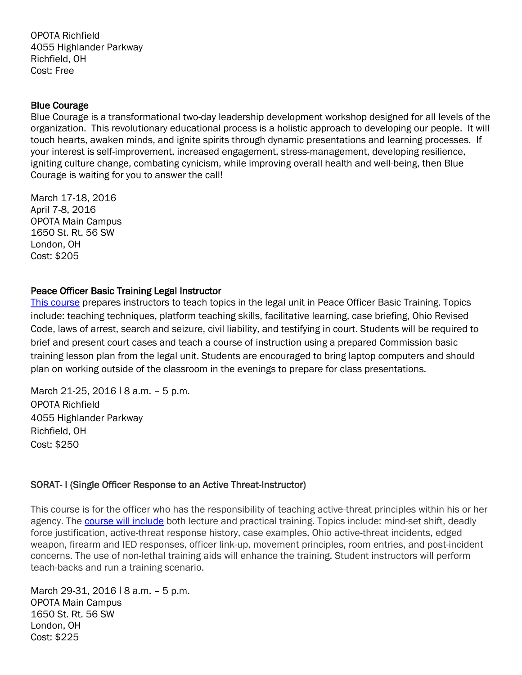OPOTA Richfield 4055 Highlander Parkway Richfield, OH Cost: Free

#### Blue Courage

Blue Courage is a transformational two-day leadership development workshop designed for all levels of the organization. This revolutionary educational process is a holistic approach to developing our people. It will touch hearts, awaken minds, and ignite spirits through dynamic presentations and learning processes. If your interest is self-improvement, increased engagement, stress-management, developing resilience, igniting culture change, combating cynicism, while improving overall health and well-being, then Blue Courage is waiting for you to answer the call!

March 17-18, 2016 April 7-8, 2016 OPOTA Main Campus 1650 St. Rt. 56 SW London, OH Cost: \$205

#### Peace Officer Basic Training Legal Instructor

[This course](http://www.ohioattorneygeneral.gov/Law-Enforcement/Ohio-Peace-Officer-Training-Academy/Course-Catalog/Course-Categories/Legal-Courses#OPOTA821) prepares instructors to teach topics in the legal unit in Peace Officer Basic Training. Topics include: teaching techniques, platform teaching skills, facilitative learning, case briefing, Ohio Revised Code, laws of arrest, search and seizure, civil liability, and testifying in court. Students will be required to brief and present court cases and teach a course of instruction using a prepared Commission basic training lesson plan from the legal unit. Students are encouraged to bring laptop computers and should plan on working outside of the classroom in the evenings to prepare for class presentations.

March 21-25, 2016 | 8 a.m. - 5 p.m. OPOTA Richfield 4055 Highlander Parkway Richfield, OH Cost: \$250

#### SORAT- I (Single Officer Response to an Active Threat-Instructor)

This course is for the officer who has the responsibility of teaching active-threat principles within his or her agency. The [course will include](http://www.ohioattorneygeneral.gov/Law-Enforcement/Ohio-Peace-Officer-Training-Academy/Course-Catalog/Course-Categories/Instructor-Training-Courses#OPOTA739) both lecture and practical training. Topics include: mind-set shift, deadly force justification, active-threat response history, case examples, Ohio active-threat incidents, edged weapon, firearm and IED responses, officer link-up, movement principles, room entries, and post-incident concerns. The use of non-lethal training aids will enhance the training. Student instructors will perform teach-backs and run a training scenario.

March 29-31, 2016 | 8 a.m. - 5 p.m. OPOTA Main Campus 1650 St. Rt. 56 SW London, OH Cost: \$225